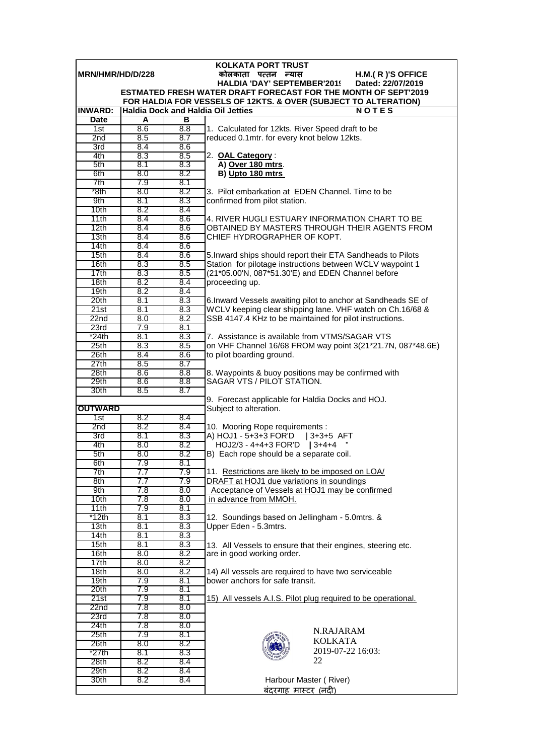| <b>KOLKATA PORT TRUST</b>                                           |            |            |                                                                                                                                  |  |  |  |
|---------------------------------------------------------------------|------------|------------|----------------------------------------------------------------------------------------------------------------------------------|--|--|--|
| <b>IMRN/HMR/HD/D/228</b><br>कोलकाता पत्तन न्यास<br>H.M.(R)'S OFFICE |            |            |                                                                                                                                  |  |  |  |
|                                                                     |            |            | <b>HALDIA 'DAY' SEPTEMBER'201!</b><br>Dated: 22/07/2019<br><b>ESTMATED FRESH WATER DRAFT FORECAST FOR THE MONTH OF SEPT'2019</b> |  |  |  |
|                                                                     |            |            | FOR HALDIA FOR VESSELS OF 12KTS. & OVER (SUBJECT TO ALTERATION)                                                                  |  |  |  |
| <b>INWARD:</b>                                                      |            |            | <b>Haldia Dock and Haldia Oil Jetties</b><br><b>NOTES</b>                                                                        |  |  |  |
| <b>Date</b>                                                         | A          | в          |                                                                                                                                  |  |  |  |
| 1st                                                                 | 8.6        | 8.8        | 1. Calculated for 12kts. River Speed draft to be                                                                                 |  |  |  |
| 2 <sub>nd</sub>                                                     | 8.5        | 8.7        | reduced 0.1mtr. for every knot below 12kts.                                                                                      |  |  |  |
| 3rd                                                                 | 8.4        | 8.6        |                                                                                                                                  |  |  |  |
| 4th                                                                 | 8.3        | 8.5        | 2. OAL Category:                                                                                                                 |  |  |  |
| 5th                                                                 | 8.1        | 8.3        | A) Over 180 mtrs.                                                                                                                |  |  |  |
| 6th                                                                 | 8.0<br>7.9 | 8.2        | B) Upto 180 mtrs                                                                                                                 |  |  |  |
| 7th<br>*8th                                                         | 8.0        | 8.1<br>8.2 | 3. Pilot embarkation at EDEN Channel. Time to be                                                                                 |  |  |  |
| 9th                                                                 | 8.1        | 8.3        | confirmed from pilot station.                                                                                                    |  |  |  |
| 10 <sub>th</sub>                                                    | 8.2        | 8.4        |                                                                                                                                  |  |  |  |
| 11th                                                                | 8.4        | 8.6        | 4. RIVER HUGLI ESTUARY INFORMATION CHART TO BE                                                                                   |  |  |  |
| 12th                                                                | 8.4        | 8.6        | OBTAINED BY MASTERS THROUGH THEIR AGENTS FROM                                                                                    |  |  |  |
| 13 <sub>th</sub>                                                    | 8.4        | 8.6        | CHIEF HYDROGRAPHER OF KOPT.                                                                                                      |  |  |  |
| 14th                                                                | 8.4        | 8.6        |                                                                                                                                  |  |  |  |
| 15th                                                                | 8.4        | 8.6        | 5. Inward ships should report their ETA Sandheads to Pilots                                                                      |  |  |  |
| 16th                                                                | 8.3        | 8.5        | Station for pilotage instructions between WCLV waypoint 1                                                                        |  |  |  |
| 17th                                                                | 8.3        | 8.5        | (21*05.00'N, 087*51.30'E) and EDEN Channel before                                                                                |  |  |  |
| 18th                                                                | 8.2        | 8.4        | proceeding up.                                                                                                                   |  |  |  |
| 19th                                                                | 8.2        | 8.4        |                                                                                                                                  |  |  |  |
| 20th<br>21st                                                        | 8.1<br>8.1 | 8.3<br>8.3 | 6. Inward Vessels awaiting pilot to anchor at Sandheads SE of<br>WCLV keeping clear shipping lane. VHF watch on Ch.16/68 &       |  |  |  |
| 22n <sub>d</sub>                                                    | 8.0        | 8.2        | SSB 4147.4 KHz to be maintained for pilot instructions.                                                                          |  |  |  |
| 23rd                                                                | 7.9        | 8.1        |                                                                                                                                  |  |  |  |
| *24th                                                               | 8.1        | 8.3        | 7. Assistance is available from VTMS/SAGAR VTS                                                                                   |  |  |  |
| 25 <sub>th</sub>                                                    | 8.3        | 8.5        | on VHF Channel 16/68 FROM way point 3(21*21.7N, 087*48.6E)                                                                       |  |  |  |
| 26th                                                                | 8.4        | 8.6        | to pilot boarding ground.                                                                                                        |  |  |  |
| 27th                                                                | 8.5        | 8.7        |                                                                                                                                  |  |  |  |
| 28th                                                                | 8.6        | 8.8        | 8. Waypoints & buoy positions may be confirmed with                                                                              |  |  |  |
| 29th                                                                | 8.6        | 8.8        | SAGAR VTS / PILOT STATION.                                                                                                       |  |  |  |
| 30th                                                                | 8.5        | 8.7        |                                                                                                                                  |  |  |  |
| <b>OUTWARD</b>                                                      |            |            | 9. Forecast applicable for Haldia Docks and HOJ.<br>Subject to alteration.                                                       |  |  |  |
| 1st                                                                 | 8.2        | 8.4        |                                                                                                                                  |  |  |  |
| 2nd                                                                 | 8.2        | 8.4        | 10. Mooring Rope requirements :                                                                                                  |  |  |  |
| 3rd                                                                 | 8.1        | 8.3        | A) HOJ1 - 5+3+3 FOR'D   3+3+5 AFT                                                                                                |  |  |  |
| 4th                                                                 | 8.0        | 8.2        | HOJ2/3 - 4+4+3 FOR'D   3+4+4                                                                                                     |  |  |  |
| 5th                                                                 | 8.0        | 8.2        | B) Each rope should be a separate coil.                                                                                          |  |  |  |
| 6th                                                                 | 7.9        | 8.1        |                                                                                                                                  |  |  |  |
| 7th                                                                 | 7.7        | 7.9        | 11. Restrictions are likely to be imposed on LOA/                                                                                |  |  |  |
| 8th                                                                 | 7.7        | 7.9        | DRAFT at HOJ1 due variations in soundings                                                                                        |  |  |  |
| 9th<br>10th                                                         | 7.8<br>7.8 | 8.0<br>8.0 | Acceptance of Vessels at HOJ1 may be confirmed<br>in advance from MMOH.                                                          |  |  |  |
| 11th                                                                | 7.9        | 8.1        |                                                                                                                                  |  |  |  |
| *12th                                                               | 8.1        | 8.3        | 12. Soundings based on Jellingham - 5.0mtrs. &                                                                                   |  |  |  |
| 13 <sub>th</sub>                                                    | 8.1        | 8.3        | Upper Eden - 5.3mtrs.                                                                                                            |  |  |  |
| 14th                                                                | 8.1        | 8.3        |                                                                                                                                  |  |  |  |
| 15th                                                                | 8.1        | 8.3        | 13. All Vessels to ensure that their engines, steering etc.                                                                      |  |  |  |
| 16th                                                                | 8.0        | 8.2        | are in good working order.                                                                                                       |  |  |  |
| 17th                                                                | 8.0        | 8.2        |                                                                                                                                  |  |  |  |
| 18th                                                                | 8.0        | 8.2        | 14) All vessels are required to have two serviceable                                                                             |  |  |  |
| 19th                                                                | 7.9        | 8.1        | bower anchors for safe transit.                                                                                                  |  |  |  |
| 20th                                                                | 7.9        | 8.1        |                                                                                                                                  |  |  |  |
| 21st<br>22nd                                                        | 7.9<br>7.8 | 8.1<br>8.0 | 15) All vessels A.I.S. Pilot plug required to be operational.                                                                    |  |  |  |
| 23rd                                                                | 7.8        | 8.0        |                                                                                                                                  |  |  |  |
| 24th                                                                | 7.8        | 8.0        |                                                                                                                                  |  |  |  |
| 25 <sub>th</sub>                                                    | 7.9        | 8.1        | N.RAJARAM                                                                                                                        |  |  |  |
| 26th                                                                | 8.0        | 8.2        | <b>KOLKATA</b>                                                                                                                   |  |  |  |
| *27th                                                               | 8.1        | 8.3        | 2019-07-22 16:03:                                                                                                                |  |  |  |
| 28th                                                                | 8.2        | 8.4        | 22                                                                                                                               |  |  |  |
| 29th                                                                | 8.2        | 8.4        |                                                                                                                                  |  |  |  |
| 30th                                                                | 8.2        | 8.4        | Harbour Master (River)                                                                                                           |  |  |  |
|                                                                     |            |            | <u>बंदरगाह मास्टर (नदी)</u>                                                                                                      |  |  |  |